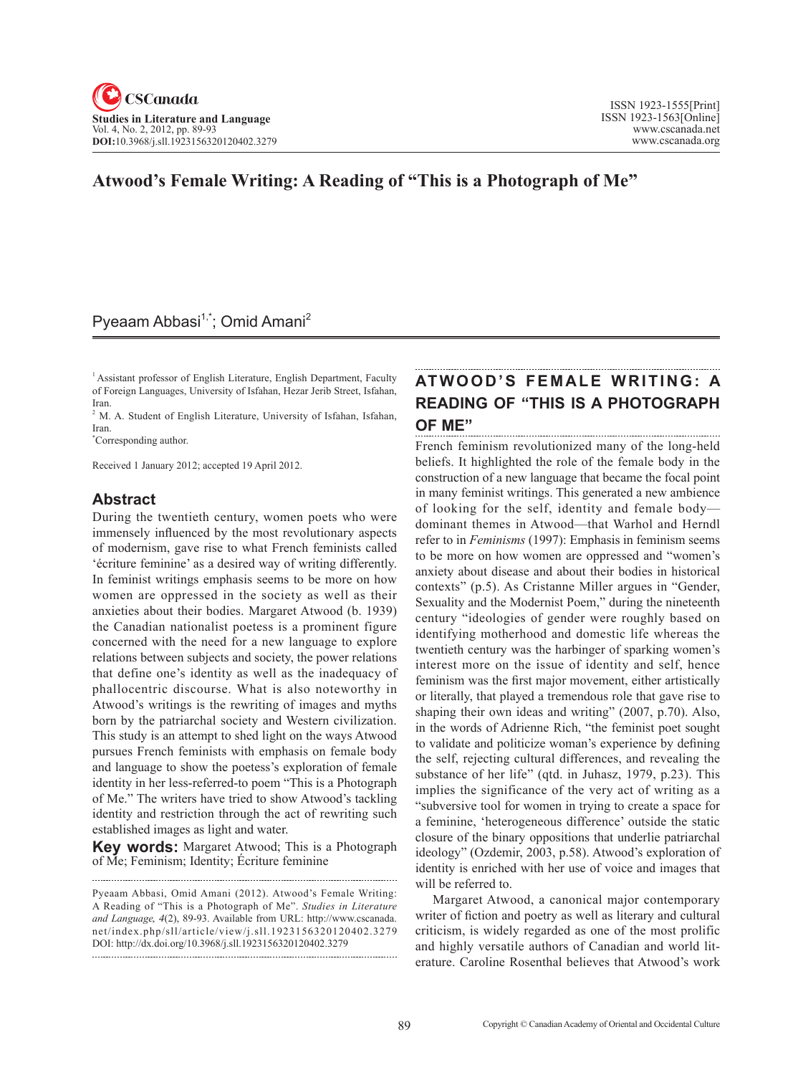## **Atwood's Female Writing: A Reading of "This is a Photograph of Me"**

# Pyeaam Abbasi<sup>1,\*</sup>; Omid Amani<sup>2</sup>

1 Assistant professor of English Literature, English Department, Faculty of Foreign Languages, University of Isfahan, Hezar Jerib Street, Isfahan, Iran.

<sup>2</sup> M. A. Student of English Literature, University of Isfahan, Isfahan, Iran.

\* Corresponding author.

Received 1 January 2012; accepted 19 April 2012.

### **Abstract**

During the twentieth century, women poets who were immensely influenced by the most revolutionary aspects of modernism, gave rise to what French feminists called 'écriture feminine' as a desired way of writing differently. In feminist writings emphasis seems to be more on how women are oppressed in the society as well as their anxieties about their bodies. Margaret Atwood (b. 1939) the Canadian nationalist poetess is a prominent figure concerned with the need for a new language to explore relations between subjects and society, the power relations that define one's identity as well as the inadequacy of phallocentric discourse. What is also noteworthy in Atwood's writings is the rewriting of images and myths born by the patriarchal society and Western civilization. This study is an attempt to shed light on the ways Atwood pursues French feminists with emphasis on female body and language to show the poetess's exploration of female identity in her less-referred-to poem "This is a Photograph of Me." The writers have tried to show Atwood's tackling identity and restriction through the act of rewriting such established images as light and water.

**Key words:** Margaret Atwood; This is a Photograph of Me; Feminism; Identity; écriture feminine

## **Atwood's Female Writing : A Reading of "This is a Photograph of Me"**

French feminism revolutionized many of the long-held beliefs. It highlighted the role of the female body in the construction of a new language that became the focal point in many feminist writings. This generated a new ambience of looking for the self, identity and female body dominant themes in Atwood—that Warhol and Herndl refer to in *Feminisms* (1997): Emphasis in feminism seems to be more on how women are oppressed and "women's anxiety about disease and about their bodies in historical contexts" (p.5). As Cristanne Miller argues in "Gender, Sexuality and the Modernist Poem," during the nineteenth century "ideologies of gender were roughly based on identifying motherhood and domestic life whereas the twentieth century was the harbinger of sparking women's interest more on the issue of identity and self, hence feminism was the first major movement, either artistically or literally, that played a tremendous role that gave rise to shaping their own ideas and writing" (2007, p.70). Also, in the words of Adrienne Rich, "the feminist poet sought to validate and politicize woman's experience by defining the self, rejecting cultural differences, and revealing the substance of her life" (qtd. in Juhasz, 1979, p.23). This implies the significance of the very act of writing as a "subversive tool for women in trying to create a space for a feminine, 'heterogeneous difference' outside the static closure of the binary oppositions that underlie patriarchal ideology" (Ozdemir, 2003, p.58). Atwood's exploration of identity is enriched with her use of voice and images that will be referred to.

Margaret Atwood, a canonical major contemporary writer of fiction and poetry as well as literary and cultural criticism, is widely regarded as one of the most prolific and highly versatile authors of Canadian and world literature. Caroline Rosenthal believes that Atwood's work

Pyeaam Abbasi, Omid Amani (2012). Atwood's Female Writing: A Reading of "This is a Photograph of Me". *Studies in Literature and Language*, <sup>4</sup>(2), 89-93. Available from URL: http://www.cscanada. net/index.php/sll/article/view/j.sll.1923156320120402.3279 DOI: http://dx.doi.org/10.3968/j.sll.1923156320120402.3279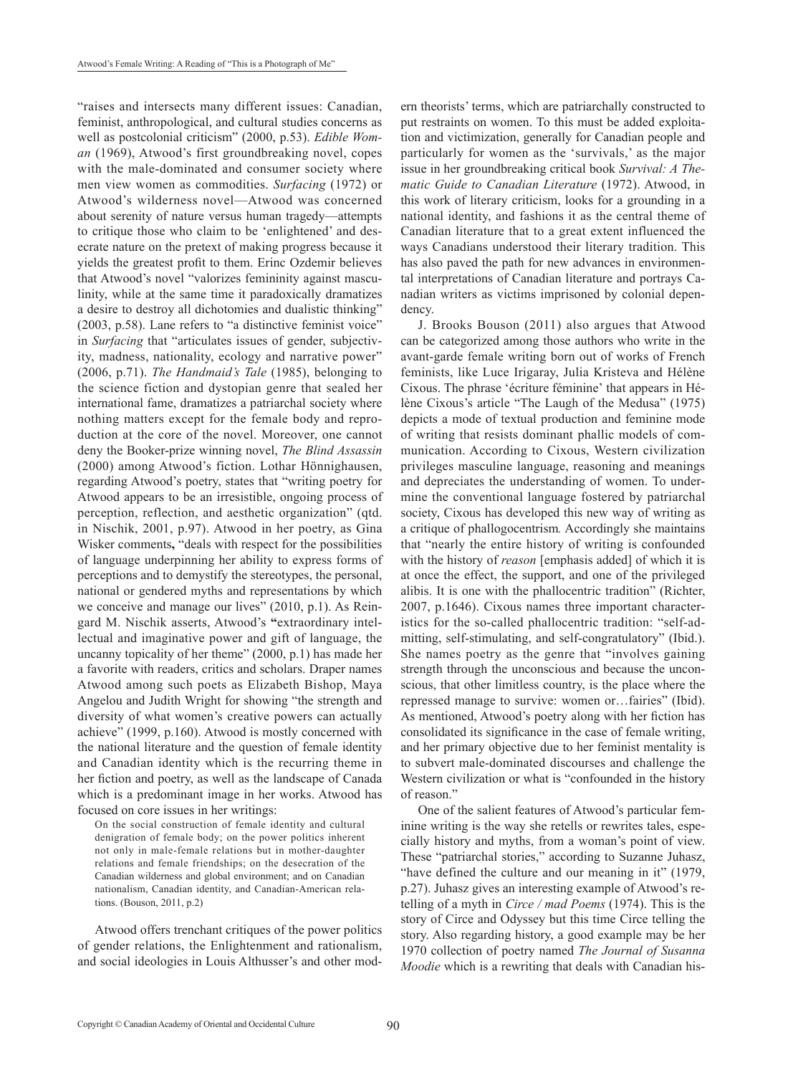"raises and intersects many different issues: Canadian, feminist, anthropological, and cultural studies concerns as well as postcolonial criticism" (2000, p.53). *Edible Woman* (1969), Atwood's first groundbreaking novel, copes with the male-dominated and consumer society where men view women as commodities. *Surfacing* (1972) or Atwood's wilderness novel—Atwood was concerned about serenity of nature versus human tragedy—attempts to critique those who claim to be 'enlightened' and desecrate nature on the pretext of making progress because it yields the greatest profit to them. Erinc Ozdemir believes that Atwood's novel "valorizes femininity against masculinity, while at the same time it paradoxically dramatizes a desire to destroy all dichotomies and dualistic thinking" (2003, p.58). Lane refers to "a distinctive feminist voice" in *Surfacing* that "articulates issues of gender, subjectivity, madness, nationality, ecology and narrative power" (2006, p.71). *The Handmaid's Tale* (1985), belonging to the science fiction and dystopian genre that sealed her international fame, dramatizes a patriarchal society where nothing matters except for the female body and reproduction at the core of the novel. Moreover, one cannot deny the Booker-prize winning novel, *The Blind Assassin* (2000) among Atwood's fiction. Lothar Hönnighausen, regarding Atwood's poetry, states that "writing poetry for Atwood appears to be an irresistible, ongoing process of perception, reflection, and aesthetic organization" (qtd. in Nischik, 2001, p.97). Atwood in her poetry, as Gina Wisker comments**,** "deals with respect for the possibilities of language underpinning her ability to express forms of perceptions and to demystify the stereotypes, the personal, national or gendered myths and representations by which we conceive and manage our lives" (2010, p.1). As Reingard M. Nischik asserts, Atwood's **"**extraordinary intellectual and imaginative power and gift of language, the uncanny topicality of her theme" (2000, p.1) has made her a favorite with readers, critics and scholars. Draper names Atwood among such poets as Elizabeth Bishop, Maya Angelou and Judith Wright for showing "the strength and diversity of what women's creative powers can actually achieve" (1999, p.160). Atwood is mostly concerned with the national literature and the question of female identity and Canadian identity which is the recurring theme in her fiction and poetry, as well as the landscape of Canada which is a predominant image in her works. Atwood has focused on core issues in her writings:

On the social construction of female identity and cultural denigration of female body; on the power politics inherent not only in male-female relations but in mother-daughter relations and female friendships; on the desecration of the Canadian wilderness and global environment; and on Canadian nationalism, Canadian identity, and Canadian-American relations. (Bouson, 2011, p.2)

Atwood offers trenchant critiques of the power politics of gender relations, the Enlightenment and rationalism, and social ideologies in Louis Althusser's and other modern theorists' terms, which are patriarchally constructed to put restraints on women. To this must be added exploitation and victimization, generally for Canadian people and particularly for women as the 'survivals,' as the major issue in her groundbreaking critical book *Survival: A Thematic Guide to Canadian Literature* (1972). Atwood, in this work of literary criticism, looks for a grounding in a national identity, and fashions it as the central theme of Canadian literature that to a great extent influenced the ways Canadians understood their literary tradition. This has also paved the path for new advances in environmental interpretations of Canadian literature and portrays Canadian writers as victims imprisoned by colonial dependency.

J. Brooks Bouson (2011) also argues that Atwood can be categorized among those authors who write in the avant-garde female writing born out of works of French feminists, like Luce Irigaray, Julia Kristeva and Hélène Cixous. The phrase 'écriture féminine' that appears in Hélène Cixous's article "The Laugh of the Medusa" (1975) depicts a mode of textual production and feminine mode of writing that resists dominant phallic models of communication. According to Cixous, Western civilization privileges masculine language, reasoning and meanings and depreciates the understanding of women. To undermine the conventional language fostered by patriarchal society, Cixous has developed this new way of writing as a critique of phallogocentrism*.* Accordingly she maintains that "nearly the entire history of writing is confounded with the history of *reason* [emphasis added] of which it is at once the effect, the support, and one of the privileged alibis. It is one with the phallocentric tradition" (Richter, 2007, p.1646). Cixous names three important characteristics for the so-called phallocentric tradition: "self-admitting, self-stimulating, and self-congratulatory" (Ibid.). She names poetry as the genre that "involves gaining strength through the unconscious and because the unconscious, that other limitless country, is the place where the repressed manage to survive: women or…fairies" (Ibid). As mentioned, Atwood's poetry along with her fiction has consolidated its significance in the case of female writing, and her primary objective due to her feminist mentality is to subvert male-dominated discourses and challenge the Western civilization or what is "confounded in the history of reason."

One of the salient features of Atwood's particular feminine writing is the way she retells or rewrites tales, especially history and myths, from a woman's point of view. These "patriarchal stories," according to Suzanne Juhasz, "have defined the culture and our meaning in it" (1979, p.27). Juhasz gives an interesting example of Atwood's retelling of a myth in *Circe / mad Poems* (1974). This is the story of Circe and Odyssey but this time Circe telling the story. Also regarding history, a good example may be her 1970 collection of poetry named *The Journal of Susanna Moodie* which is a rewriting that deals with Canadian his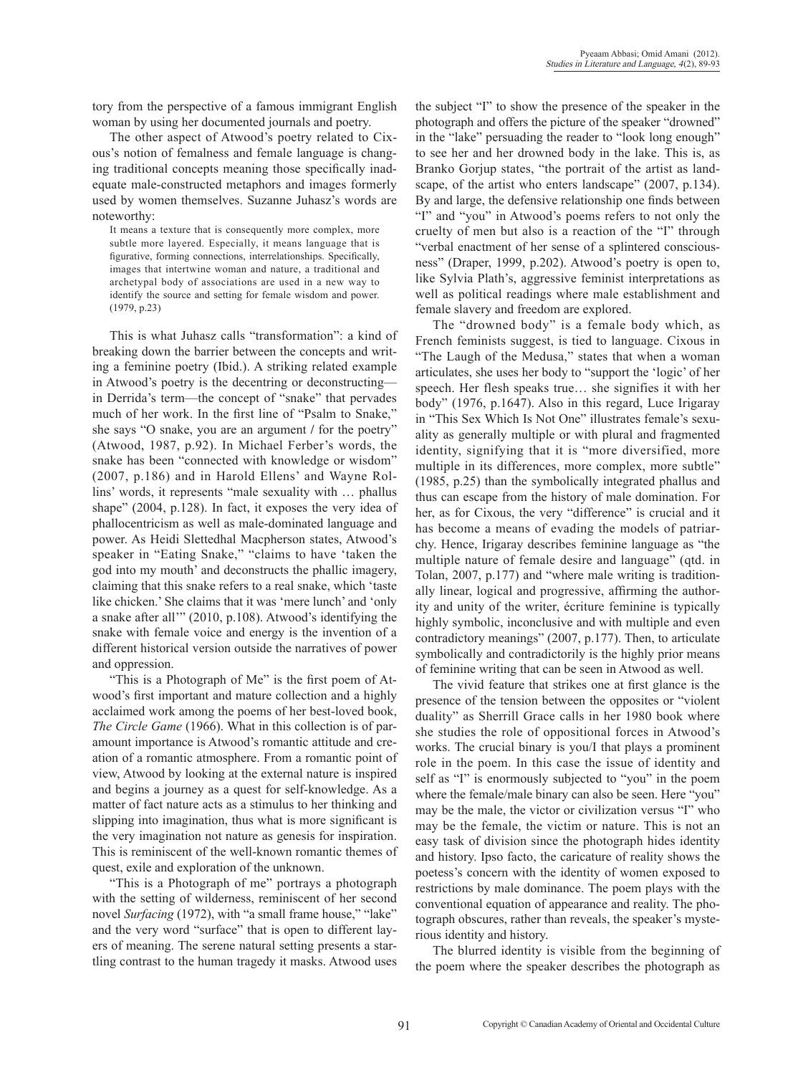tory from the perspective of a famous immigrant English woman by using her documented journals and poetry.

The other aspect of Atwood's poetry related to Cixous's notion of femalness and female language is changing traditional concepts meaning those specifically inadequate male-constructed metaphors and images formerly used by women themselves. Suzanne Juhasz's words are noteworthy:

It means a texture that is consequently more complex, more subtle more layered. Especially, it means language that is figurative, forming connections, interrelationships. Specifically, images that intertwine woman and nature, a traditional and archetypal body of associations are used in a new way to identify the source and setting for female wisdom and power. (1979, p.23)

This is what Juhasz calls "transformation": a kind of breaking down the barrier between the concepts and writing a feminine poetry (Ibid.). A striking related example in Atwood's poetry is the decentring or deconstructing in Derrida's term—the concept of "snake" that pervades much of her work. In the first line of "Psalm to Snake," she says "O snake, you are an argument **/** for the poetry" (Atwood, 1987, p.92). In Michael Ferber's words, the snake has been "connected with knowledge or wisdom" (2007, p.186) and in Harold Ellens' and Wayne Rollins' words, it represents "male sexuality with … phallus shape" (2004, p.128). In fact, it exposes the very idea of phallocentricism as well as male-dominated language and power. As Heidi Slettedhal Macpherson states, Atwood's speaker in "Eating Snake," "claims to have 'taken the god into my mouth' and deconstructs the phallic imagery, claiming that this snake refers to a real snake, which 'taste like chicken.' She claims that it was 'mere lunch' and 'only a snake after all'" (2010, p.108). Atwood's identifying the snake with female voice and energy is the invention of a different historical version outside the narratives of power and oppression.

"This is a Photograph of Me" is the first poem of Atwood's first important and mature collection and a highly acclaimed work among the poems of her best-loved book, *The Circle Game* (1966). What in this collection is of paramount importance is Atwood's romantic attitude and creation of a romantic atmosphere. From a romantic point of view, Atwood by looking at the external nature is inspired and begins a journey as a quest for self-knowledge. As a matter of fact nature acts as a stimulus to her thinking and slipping into imagination, thus what is more significant is the very imagination not nature as genesis for inspiration. This is reminiscent of the well-known romantic themes of quest, exile and exploration of the unknown.

"This is a Photograph of me" portrays a photograph with the setting of wilderness, reminiscent of her second novel *Surfacing* (1972), with "a small frame house," "lake" and the very word "surface" that is open to different layers of meaning. The serene natural setting presents a startling contrast to the human tragedy it masks. Atwood uses the subject "I" to show the presence of the speaker in the photograph and offers the picture of the speaker "drowned" in the "lake" persuading the reader to "look long enough" to see her and her drowned body in the lake. This is, as Branko Gorjup states, "the portrait of the artist as landscape, of the artist who enters landscape" (2007, p.134). By and large, the defensive relationship one finds between "I" and "you" in Atwood's poems refers to not only the cruelty of men but also is a reaction of the "I" through "verbal enactment of her sense of a splintered consciousness" (Draper, 1999, p.202). Atwood's poetry is open to, like Sylvia Plath's, aggressive feminist interpretations as well as political readings where male establishment and female slavery and freedom are explored.

The "drowned body" is a female body which, as French feminists suggest, is tied to language. Cixous in "The Laugh of the Medusa," states that when a woman articulates, she uses her body to "support the 'logic' of her speech. Her flesh speaks true… she signifies it with her body" (1976, p.1647). Also in this regard, Luce Irigaray in "This Sex Which Is Not One" illustrates female's sexuality as generally multiple or with plural and fragmented identity, signifying that it is "more diversified, more multiple in its differences, more complex, more subtle" (1985, p.25) than the symbolically integrated phallus and thus can escape from the history of male domination. For her, as for Cixous, the very "difference" is crucial and it has become a means of evading the models of patriarchy. Hence, Irigaray describes feminine language as "the multiple nature of female desire and language" (qtd. in Tolan, 2007, p.177) and "where male writing is traditionally linear, logical and progressive, affirming the authority and unity of the writer, écriture feminine is typically highly symbolic, inconclusive and with multiple and even contradictory meanings" (2007, p.177). Then, to articulate symbolically and contradictorily is the highly prior means of feminine writing that can be seen in Atwood as well.

The vivid feature that strikes one at first glance is the presence of the tension between the opposites or "violent duality" as Sherrill Grace calls in her 1980 book where she studies the role of oppositional forces in Atwood's works. The crucial binary is you/I that plays a prominent role in the poem. In this case the issue of identity and self as "I" is enormously subjected to "you" in the poem where the female/male binary can also be seen. Here "you" may be the male, the victor or civilization versus "I" who may be the female, the victim or nature. This is not an easy task of division since the photograph hides identity and history. Ipso facto, the caricature of reality shows the poetess's concern with the identity of women exposed to restrictions by male dominance. The poem plays with the conventional equation of appearance and reality. The photograph obscures, rather than reveals, the speaker's mysterious identity and history.

The blurred identity is visible from the beginning of the poem where the speaker describes the photograph as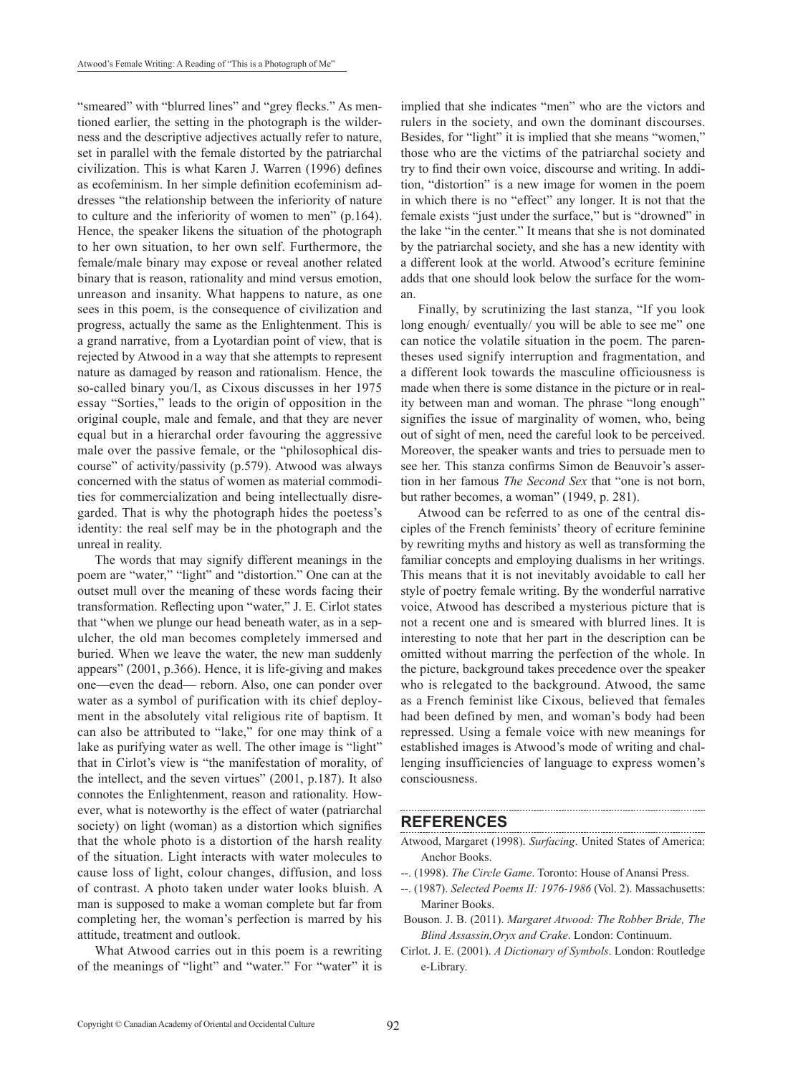"smeared" with "blurred lines" and "grey flecks." As mentioned earlier, the setting in the photograph is the wilderness and the descriptive adjectives actually refer to nature, set in parallel with the female distorted by the patriarchal civilization. This is what Karen J. Warren (1996) defines as ecofeminism. In her simple definition ecofeminism addresses "the relationship between the inferiority of nature to culture and the inferiority of women to men" (p.164). Hence, the speaker likens the situation of the photograph to her own situation, to her own self. Furthermore, the female/male binary may expose or reveal another related binary that is reason, rationality and mind versus emotion, unreason and insanity. What happens to nature, as one sees in this poem, is the consequence of civilization and progress, actually the same as the Enlightenment. This is a grand narrative, from a Lyotardian point of view, that is rejected by Atwood in a way that she attempts to represent nature as damaged by reason and rationalism. Hence, the so-called binary you/I, as Cixous discusses in her 1975 essay "Sorties," leads to the origin of opposition in the original couple, male and female, and that they are never equal but in a hierarchal order favouring the aggressive male over the passive female, or the "philosophical discourse" of activity/passivity (p.579). Atwood was always concerned with the status of women as material commodities for commercialization and being intellectually disregarded. That is why the photograph hides the poetess's identity: the real self may be in the photograph and the unreal in reality.

The words that may signify different meanings in the poem are "water," "light" and "distortion." One can at the outset mull over the meaning of these words facing their transformation. Reflecting upon "water," J. E. Cirlot states that "when we plunge our head beneath water, as in a sepulcher, the old man becomes completely immersed and buried. When we leave the water, the new man suddenly appears" (2001, p.366). Hence, it is life-giving and makes one—even the dead— reborn. Also, one can ponder over water as a symbol of purification with its chief deployment in the absolutely vital religious rite of baptism. It can also be attributed to "lake," for one may think of a lake as purifying water as well. The other image is "light" that in Cirlot's view is "the manifestation of morality, of the intellect, and the seven virtues" (2001, p.187). It also connotes the Enlightenment, reason and rationality. However, what is noteworthy is the effect of water (patriarchal society) on light (woman) as a distortion which signifies that the whole photo is a distortion of the harsh reality of the situation. Light interacts with water molecules to cause loss of light, colour changes, diffusion, and loss of contrast. A photo taken under water looks bluish. A man is supposed to make a woman complete but far from completing her, the woman's perfection is marred by his attitude, treatment and outlook.

What Atwood carries out in this poem is a rewriting of the meanings of "light" and "water." For "water" it is implied that she indicates "men" who are the victors and rulers in the society, and own the dominant discourses. Besides, for "light" it is implied that she means "women," those who are the victims of the patriarchal society and try to find their own voice, discourse and writing. In addition, "distortion" is a new image for women in the poem in which there is no "effect" any longer. It is not that the female exists "just under the surface," but is "drowned" in the lake "in the center." It means that she is not dominated by the patriarchal society, and she has a new identity with a different look at the world. Atwood's ecriture feminine adds that one should look below the surface for the woman.

Finally, by scrutinizing the last stanza, "If you look long enough/ eventually/ you will be able to see me" one can notice the volatile situation in the poem. The parentheses used signify interruption and fragmentation, and a different look towards the masculine officiousness is made when there is some distance in the picture or in reality between man and woman. The phrase "long enough" signifies the issue of marginality of women, who, being out of sight of men, need the careful look to be perceived. Moreover, the speaker wants and tries to persuade men to see her. This stanza confirms Simon de Beauvoir's assertion in her famous *The Second Sex* that "one is not born, but rather becomes, a woman" (1949, p. 281).

Atwood can be referred to as one of the central disciples of the French feminists' theory of ecriture feminine by rewriting myths and history as well as transforming the familiar concepts and employing dualisms in her writings. This means that it is not inevitably avoidable to call her style of poetry female writing. By the wonderful narrative voice, Atwood has described a mysterious picture that is not a recent one and is smeared with blurred lines. It is interesting to note that her part in the description can be omitted without marring the perfection of the whole. In the picture, background takes precedence over the speaker who is relegated to the background. Atwood, the same as a French feminist like Cixous, believed that females had been defined by men, and woman's body had been repressed. Using a female voice with new meanings for established images is Atwood's mode of writing and challenging insufficiencies of language to express women's consciousness.

#### **References**

Atwood, Margaret (1998). *Surfacing*. United States of America: Anchor Books.

- --. (1998). *The Circle Game*. Toronto: House of Anansi Press.
- --. (1987). *Selected Poems II: 1976-1986* (Vol. 2). Massachusetts: Mariner Books.
- Bouson. J. B. (2011). *Margaret Atwood: The Robber Bride, The Blind Assassin,Oryx and Crake*. London: Continuum.
- Cirlot. J. E. (2001). *A Dictionary of Symbols*. London: Routledge e-Library.